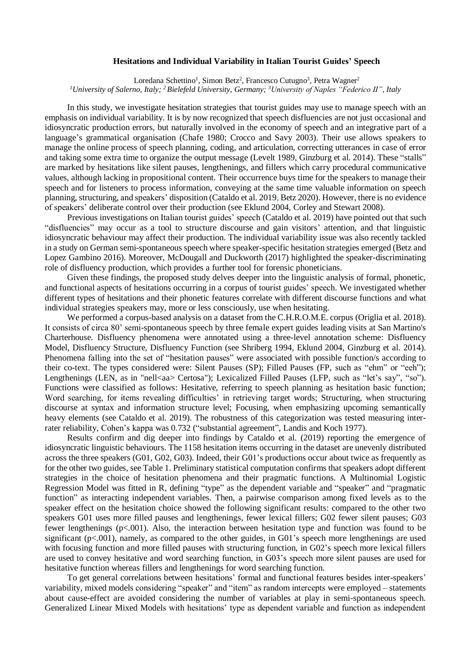## **Hesitations and Individual Variability in Italian Tourist Guides' Speech**

Loredana Schettino<sup>1</sup>, Simon Betz<sup>2</sup>, Francesco Cutugno<sup>3</sup>, Petra Wagner<sup>2</sup> *<sup>1</sup>University of Salerno, Italy; <sup>2</sup>Bielefeld University, Germany; <sup>3</sup>University of Naples "Federico II", Italy*

In this study, we investigate hesitation strategies that tourist guides may use to manage speech with an emphasis on individual variability. It is by now recognized that speech disfluencies are not just occasional and idiosyncratic production errors, but naturally involved in the economy of speech and an integrative part of a language's grammatical organisation (Chafe 1980; Crocco and Savy 2003). Their use allows speakers to manage the online process of speech planning, coding, and articulation, correcting utterances in case of error and taking some extra time to organize the output message (Levelt 1989, Ginzburg et al. 2014). These "stalls" are marked by hesitations like silent pauses, lengthenings, and fillers which carry procedural communicative values, although lacking in propositional content. Their occurrence buys time for the speakers to manage their speech and for listeners to process information, conveying at the same time valuable information on speech planning, structuring, and speakers' disposition (Cataldo et al. 2019, Betz 2020). However, there is no evidence of speakers' deliberate control over their production (see Eklund 2004, Corley and Stewart 2008).

Previous investigations on Italian tourist guides' speech (Cataldo et al. 2019) have pointed out that such "disfluencies" may occur as a tool to structure discourse and gain visitors' attention, and that linguistic idiosyncratic behaviour may affect their production. The individual variability issue was also recently tackled in a study on German semi-spontaneous speech where speaker-specific hesitation strategies emerged (Betz and Lopez Gambino 2016). Moreover, McDougall and Duckworth (2017) highlighted the speaker-discriminating role of disfluency production, which provides a further tool for forensic phoneticians.

Given these findings, the proposed study delves deeper into the linguistic analysis of formal, phonetic, and functional aspects of hesitations occurring in a corpus of tourist guides' speech. We investigated whether different types of hesitations and their phonetic features correlate with different discourse functions and what individual strategies speakers may, more or less consciously, use when hesitating.

We performed a corpus-based analysis on a dataset from the C.H.R.O.M.E. corpus (Origlia et al. 2018). It consists of circa 80' semi-spontaneous speech by three female expert guides leading visits at San Martino's Charterhouse. Disfluency phenomena were annotated using a three-level annotation scheme: Disfluency Model, Disfluency Structure, Disfluency Function (see Shriberg 1994, Eklund 2004, Ginzburg et al. 2014). Phenomena falling into the set of "hesitation pauses" were associated with possible function/s according to their co-text. The types considered were: Silent Pauses (SP); Filled Pauses (FP, such as "ehm" or "eeh"); Lengthenings (LEN, as in "nell<aa> Certosa"); Lexicalized Filled Pauses (LFP, such as "let's say", "so"). Functions were classified as follows: Hesitative, referring to speech planning as hesitation basic function; Word searching, for items revealing difficulties' in retrieving target words; Structuring, when structuring discourse at syntax and information structure level; Focusing, when emphasizing upcoming semantically heavy elements (see Cataldo et al. 2019). The robustness of this categorization was tested measuring interrater reliability, Cohen's kappa was 0.732 ("substantial agreement", Landis and Koch 1977).

Results confirm and dig deeper into findings by Cataldo et al. (2019) reporting the emergence of idiosyncratic linguistic behaviours. The 1158 hesitation items occurring in the dataset are unevenly distributed across the three speakers (G01, G02, G03). Indeed, their G01's productions occur about twice as frequently as for the other two guides, see Table 1. Preliminary statistical computation confirms that speakers adopt different strategies in the choice of hesitation phenomena and their pragmatic functions. A Multinomial Logistic Regression Model was fitted in R, defining "type" as the dependent variable and "speaker" and "pragmatic function" as interacting independent variables. Then, a pairwise comparison among fixed levels as to the speaker effect on the hesitation choice showed the following significant results: compared to the other two speakers G01 uses more filled pauses and lengthenings, fewer lexical fillers; G02 fewer silent pauses; G03 fewer lengthenings  $(p<.001)$ . Also, the interaction between hesitation type and function was found to be significant (p<.001), namely, as compared to the other guides, in G01's speech more lengthenings are used with focusing function and more filled pauses with structuring function, in G02's speech more lexical fillers are used to convey hesitative and word searching function, in G03's speech more silent pauses are used for hesitative function whereas fillers and lengthenings for word searching function.

To get general correlations between hesitations' formal and functional features besides inter-speakers' variability, mixed models considering "speaker" and "item" as random intercepts were employed – statements about cause-effect are avoided considering the number of variables at play in semi-spontaneous speech. Generalized Linear Mixed Models with hesitations' type as dependent variable and function as independent